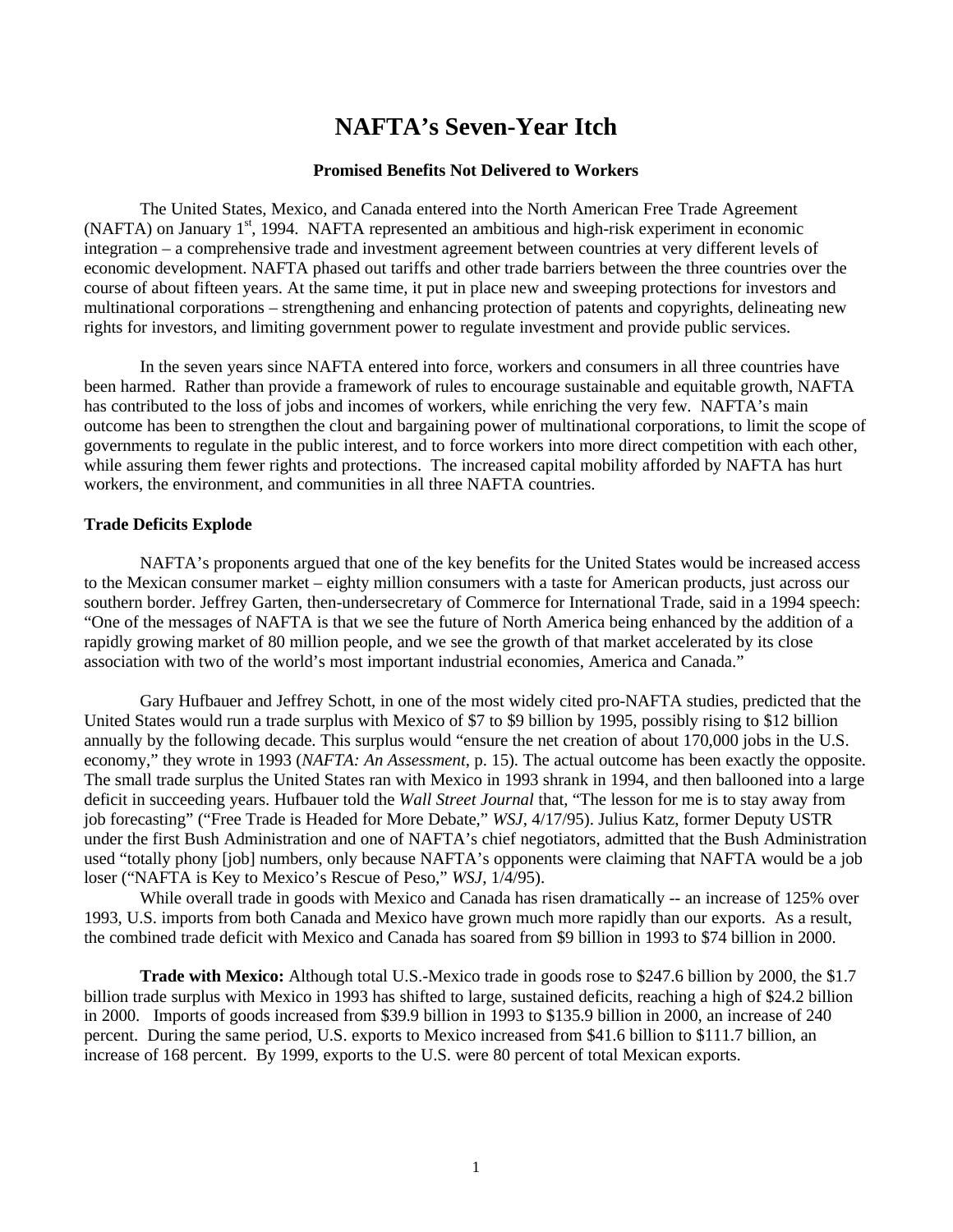# **NAFTA's Seven-Year Itch**

# **Promised Benefits Not Delivered to Workers**

The United States, Mexico, and Canada entered into the North American Free Trade Agreement (NAFTA) on January  $1<sup>st</sup>$ , 1994. NAFTA represented an ambitious and high-risk experiment in economic integration – a comprehensive trade and investment agreement between countries at very different levels of economic development. NAFTA phased out tariffs and other trade barriers between the three countries over the course of about fifteen years. At the same time, it put in place new and sweeping protections for investors and multinational corporations – strengthening and enhancing protection of patents and copyrights, delineating new rights for investors, and limiting government power to regulate investment and provide public services.

In the seven years since NAFTA entered into force, workers and consumers in all three countries have been harmed. Rather than provide a framework of rules to encourage sustainable and equitable growth, NAFTA has contributed to the loss of jobs and incomes of workers, while enriching the very few. NAFTA's main outcome has been to strengthen the clout and bargaining power of multinational corporations, to limit the scope of governments to regulate in the public interest, and to force workers into more direct competition with each other, while assuring them fewer rights and protections. The increased capital mobility afforded by NAFTA has hurt workers, the environment, and communities in all three NAFTA countries.

#### **Trade Deficits Explode**

NAFTA's proponents argued that one of the key benefits for the United States would be increased access to the Mexican consumer market – eighty million consumers with a taste for American products, just across our southern border. Jeffrey Garten, then-undersecretary of Commerce for International Trade, said in a 1994 speech: "One of the messages of NAFTA is that we see the future of North America being enhanced by the addition of a rapidly growing market of 80 million people, and we see the growth of that market accelerated by its close association with two of the world's most important industrial economies, America and Canada."

Gary Hufbauer and Jeffrey Schott, in one of the most widely cited pro-NAFTA studies, predicted that the United States would run a trade surplus with Mexico of \$7 to \$9 billion by 1995, possibly rising to \$12 billion annually by the following decade. This surplus would "ensure the net creation of about 170,000 jobs in the U.S. economy," they wrote in 1993 (*NAFTA: An Assessment*, p. 15). The actual outcome has been exactly the opposite. The small trade surplus the United States ran with Mexico in 1993 shrank in 1994, and then ballooned into a large deficit in succeeding years. Hufbauer told the *Wall Street Journal* that, "The lesson for me is to stay away from job forecasting" ("Free Trade is Headed for More Debate," *WSJ*, 4/17/95). Julius Katz, former Deputy USTR under the first Bush Administration and one of NAFTA's chief negotiators, admitted that the Bush Administration used "totally phony [job] numbers, only because NAFTA's opponents were claiming that NAFTA would be a job loser ("NAFTA is Key to Mexico's Rescue of Peso," *WSJ*, 1/4/95).

While overall trade in goods with Mexico and Canada has risen dramatically -- an increase of 125% over 1993, U.S. imports from both Canada and Mexico have grown much more rapidly than our exports. As a result, the combined trade deficit with Mexico and Canada has soared from \$9 billion in 1993 to \$74 billion in 2000.

**Trade with Mexico:** Although total U.S.-Mexico trade in goods rose to \$247.6 billion by 2000, the \$1.7 billion trade surplus with Mexico in 1993 has shifted to large, sustained deficits, reaching a high of \$24.2 billion in 2000. Imports of goods increased from \$39.9 billion in 1993 to \$135.9 billion in 2000, an increase of 240 percent. During the same period, U.S. exports to Mexico increased from \$41.6 billion to \$111.7 billion, an increase of 168 percent. By 1999, exports to the U.S. were 80 percent of total Mexican exports.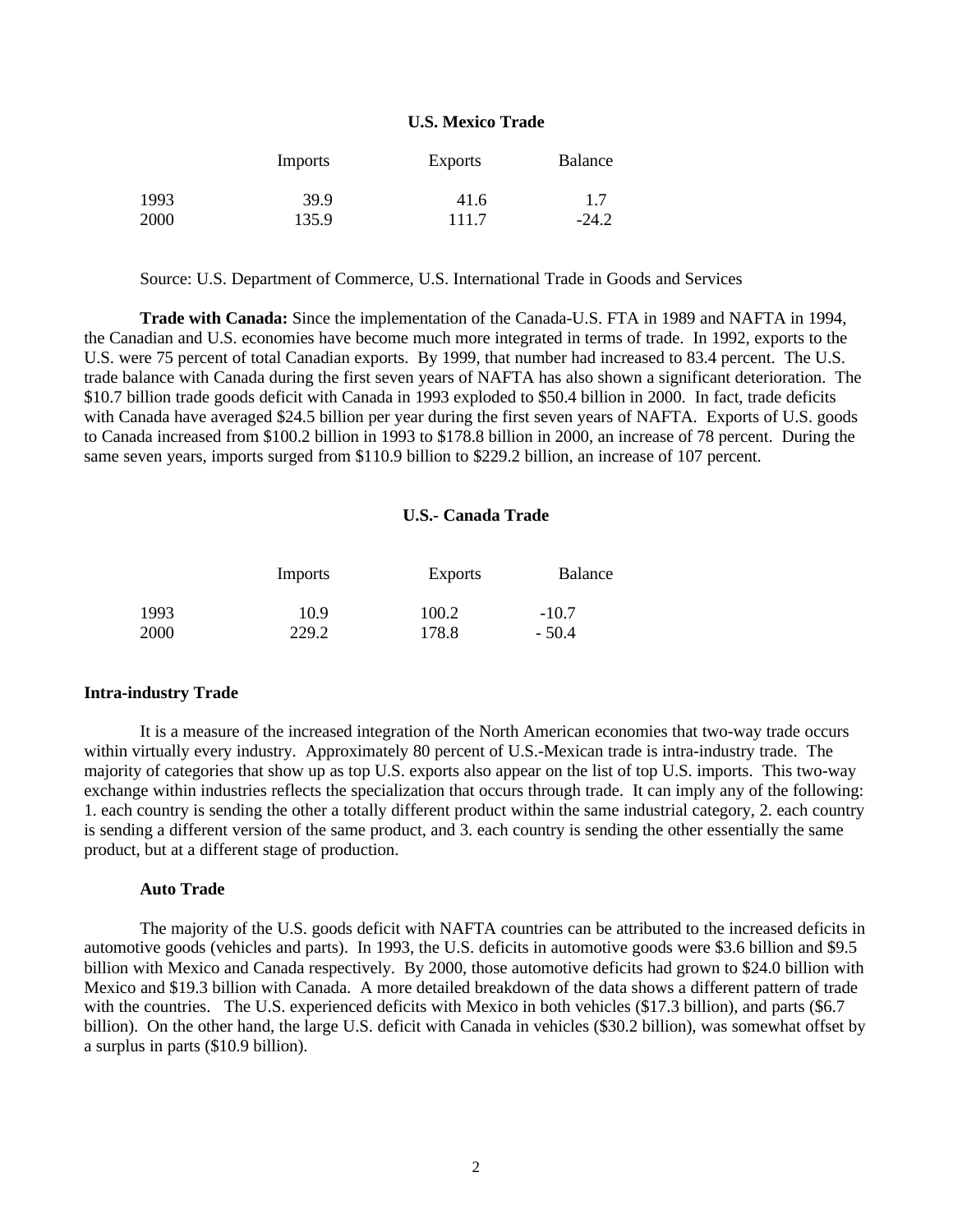# **U.S. Mexico Trade**

|      | Imports | <b>Exports</b> | Balance |
|------|---------|----------------|---------|
| 1993 | 39.9    | 41.6           | 1.7     |
| 2000 | 135.9   | 111.7          | $-24.2$ |

Source: U.S. Department of Commerce, U.S. International Trade in Goods and Services

**Trade with Canada:** Since the implementation of the Canada-U.S. FTA in 1989 and NAFTA in 1994, the Canadian and U.S. economies have become much more integrated in terms of trade. In 1992, exports to the U.S. were 75 percent of total Canadian exports. By 1999, that number had increased to 83.4 percent. The U.S. trade balance with Canada during the first seven years of NAFTA has also shown a significant deterioration. The \$10.7 billion trade goods deficit with Canada in 1993 exploded to \$50.4 billion in 2000. In fact, trade deficits with Canada have averaged \$24.5 billion per year during the first seven years of NAFTA. Exports of U.S. goods to Canada increased from \$100.2 billion in 1993 to \$178.8 billion in 2000, an increase of 78 percent. During the same seven years, imports surged from \$110.9 billion to \$229.2 billion, an increase of 107 percent.

# **U.S.- Canada Trade**

|      | Imports | <b>Exports</b> | <b>Balance</b> |
|------|---------|----------------|----------------|
| 1993 | 10.9    | 100.2          | $-10.7$        |
| 2000 | 229.2   | 178.8          | $-50.4$        |

# **Intra-industry Trade**

It is a measure of the increased integration of the North American economies that two-way trade occurs within virtually every industry. Approximately 80 percent of U.S.-Mexican trade is intra-industry trade. The majority of categories that show up as top U.S. exports also appear on the list of top U.S. imports. This two-way exchange within industries reflects the specialization that occurs through trade. It can imply any of the following: 1. each country is sending the other a totally different product within the same industrial category, 2. each country is sending a different version of the same product, and 3. each country is sending the other essentially the same product, but at a different stage of production.

# **Auto Trade**

The majority of the U.S. goods deficit with NAFTA countries can be attributed to the increased deficits in automotive goods (vehicles and parts). In 1993, the U.S. deficits in automotive goods were \$3.6 billion and \$9.5 billion with Mexico and Canada respectively. By 2000, those automotive deficits had grown to \$24.0 billion with Mexico and \$19.3 billion with Canada. A more detailed breakdown of the data shows a different pattern of trade with the countries. The U.S. experienced deficits with Mexico in both vehicles (\$17.3 billion), and parts (\$6.7 billion). On the other hand, the large U.S. deficit with Canada in vehicles (\$30.2 billion), was somewhat offset by a surplus in parts (\$10.9 billion).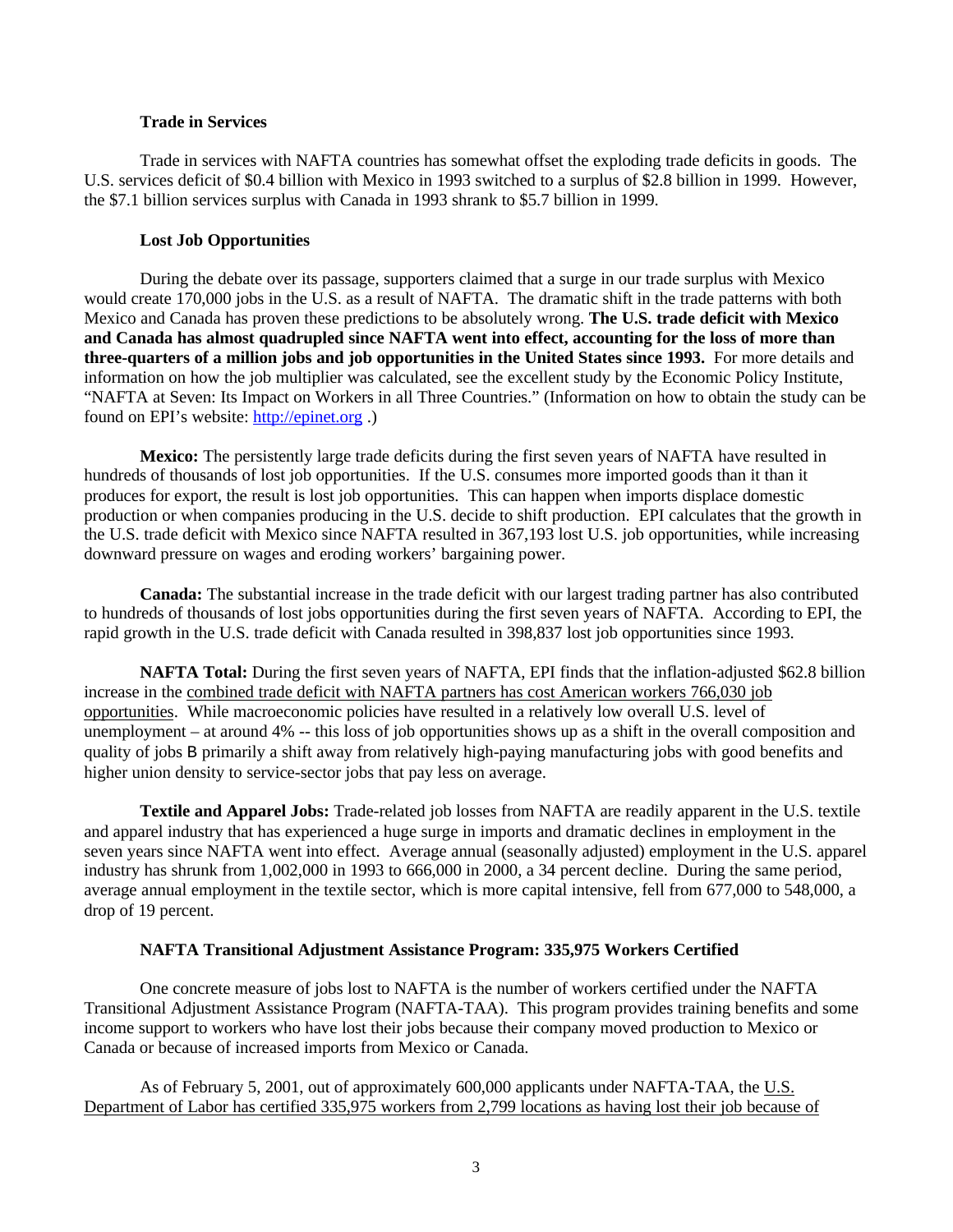# **Trade in Services**

Trade in services with NAFTA countries has somewhat offset the exploding trade deficits in goods. The U.S. services deficit of \$0.4 billion with Mexico in 1993 switched to a surplus of \$2.8 billion in 1999. However, the \$7.1 billion services surplus with Canada in 1993 shrank to \$5.7 billion in 1999.

# **Lost Job Opportunities**

During the debate over its passage, supporters claimed that a surge in our trade surplus with Mexico would create 170,000 jobs in the U.S. as a result of NAFTA. The dramatic shift in the trade patterns with both Mexico and Canada has proven these predictions to be absolutely wrong. **The U.S. trade deficit with Mexico and Canada has almost quadrupled since NAFTA went into effect, accounting for the loss of more than three-quarters of a million jobs and job opportunities in the United States since 1993.** For more details and information on how the job multiplier was calculated, see the excellent study by the Economic Policy Institute, "NAFTA at Seven: Its Impact on Workers in all Three Countries." (Information on how to obtain the study can be found on EPI's website: http://epinet.org .)

**Mexico:** The persistently large trade deficits during the first seven years of NAFTA have resulted in hundreds of thousands of lost job opportunities. If the U.S. consumes more imported goods than it than it produces for export, the result is lost job opportunities. This can happen when imports displace domestic production or when companies producing in the U.S. decide to shift production. EPI calculates that the growth in the U.S. trade deficit with Mexico since NAFTA resulted in 367,193 lost U.S. job opportunities, while increasing downward pressure on wages and eroding workers' bargaining power.

**Canada:** The substantial increase in the trade deficit with our largest trading partner has also contributed to hundreds of thousands of lost jobs opportunities during the first seven years of NAFTA. According to EPI, the rapid growth in the U.S. trade deficit with Canada resulted in 398,837 lost job opportunities since 1993.

**NAFTA Total:** During the first seven years of NAFTA, EPI finds that the inflation-adjusted \$62.8 billion increase in the combined trade deficit with NAFTA partners has cost American workers 766,030 job opportunities. While macroeconomic policies have resulted in a relatively low overall U.S. level of unemployment – at around 4% -- this loss of job opportunities shows up as a shift in the overall composition and quality of jobs B primarily a shift away from relatively high-paying manufacturing jobs with good benefits and higher union density to service-sector jobs that pay less on average.

**Textile and Apparel Jobs:** Trade-related job losses from NAFTA are readily apparent in the U.S. textile and apparel industry that has experienced a huge surge in imports and dramatic declines in employment in the seven years since NAFTA went into effect. Average annual (seasonally adjusted) employment in the U.S. apparel industry has shrunk from 1,002,000 in 1993 to 666,000 in 2000, a 34 percent decline. During the same period, average annual employment in the textile sector, which is more capital intensive, fell from 677,000 to 548,000, a drop of 19 percent.

# **NAFTA Transitional Adjustment Assistance Program: 335,975 Workers Certified**

One concrete measure of jobs lost to NAFTA is the number of workers certified under the NAFTA Transitional Adjustment Assistance Program (NAFTA-TAA). This program provides training benefits and some income support to workers who have lost their jobs because their company moved production to Mexico or Canada or because of increased imports from Mexico or Canada.

As of February 5, 2001, out of approximately 600,000 applicants under NAFTA-TAA, the U.S. Department of Labor has certified 335,975 workers from 2,799 locations as having lost their job because of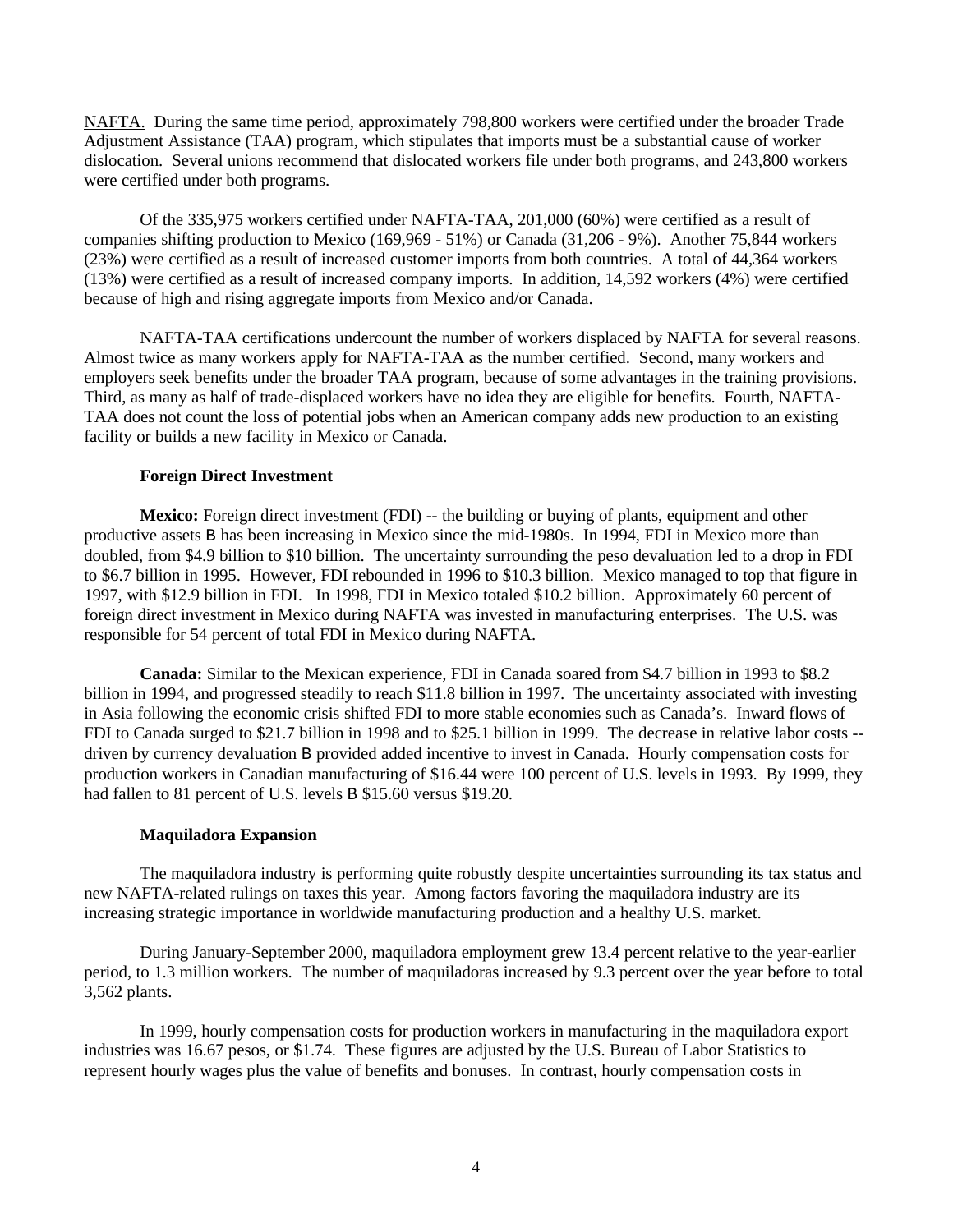NAFTA. During the same time period, approximately 798,800 workers were certified under the broader Trade Adjustment Assistance (TAA) program, which stipulates that imports must be a substantial cause of worker dislocation. Several unions recommend that dislocated workers file under both programs, and 243,800 workers were certified under both programs.

Of the 335,975 workers certified under NAFTA-TAA, 201,000 (60%) were certified as a result of companies shifting production to Mexico (169,969 - 51%) or Canada (31,206 - 9%). Another 75,844 workers (23%) were certified as a result of increased customer imports from both countries. A total of 44,364 workers (13%) were certified as a result of increased company imports. In addition, 14,592 workers (4%) were certified because of high and rising aggregate imports from Mexico and/or Canada.

NAFTA-TAA certifications undercount the number of workers displaced by NAFTA for several reasons. Almost twice as many workers apply for NAFTA-TAA as the number certified. Second, many workers and employers seek benefits under the broader TAA program, because of some advantages in the training provisions. Third, as many as half of trade-displaced workers have no idea they are eligible for benefits. Fourth, NAFTA-TAA does not count the loss of potential jobs when an American company adds new production to an existing facility or builds a new facility in Mexico or Canada.

# **Foreign Direct Investment**

**Mexico:** Foreign direct investment (FDI) -- the building or buying of plants, equipment and other productive assets B has been increasing in Mexico since the mid-1980s. In 1994, FDI in Mexico more than doubled, from \$4.9 billion to \$10 billion. The uncertainty surrounding the peso devaluation led to a drop in FDI to \$6.7 billion in 1995. However, FDI rebounded in 1996 to \$10.3 billion. Mexico managed to top that figure in 1997, with \$12.9 billion in FDI. In 1998, FDI in Mexico totaled \$10.2 billion. Approximately 60 percent of foreign direct investment in Mexico during NAFTA was invested in manufacturing enterprises. The U.S. was responsible for 54 percent of total FDI in Mexico during NAFTA.

**Canada:** Similar to the Mexican experience, FDI in Canada soared from \$4.7 billion in 1993 to \$8.2 billion in 1994, and progressed steadily to reach \$11.8 billion in 1997. The uncertainty associated with investing in Asia following the economic crisis shifted FDI to more stable economies such as Canada's. Inward flows of FDI to Canada surged to \$21.7 billion in 1998 and to \$25.1 billion in 1999. The decrease in relative labor costs - driven by currency devaluation B provided added incentive to invest in Canada. Hourly compensation costs for production workers in Canadian manufacturing of \$16.44 were 100 percent of U.S. levels in 1993. By 1999, they had fallen to 81 percent of U.S. levels B \$15.60 versus \$19.20.

# **Maquiladora Expansion**

The maquiladora industry is performing quite robustly despite uncertainties surrounding its tax status and new NAFTA-related rulings on taxes this year. Among factors favoring the maquiladora industry are its increasing strategic importance in worldwide manufacturing production and a healthy U.S. market.

During January-September 2000, maquiladora employment grew 13.4 percent relative to the year-earlier period, to 1.3 million workers. The number of maquiladoras increased by 9.3 percent over the year before to total 3,562 plants.

In 1999, hourly compensation costs for production workers in manufacturing in the maquiladora export industries was 16.67 pesos, or \$1.74. These figures are adjusted by the U.S. Bureau of Labor Statistics to represent hourly wages plus the value of benefits and bonuses. In contrast, hourly compensation costs in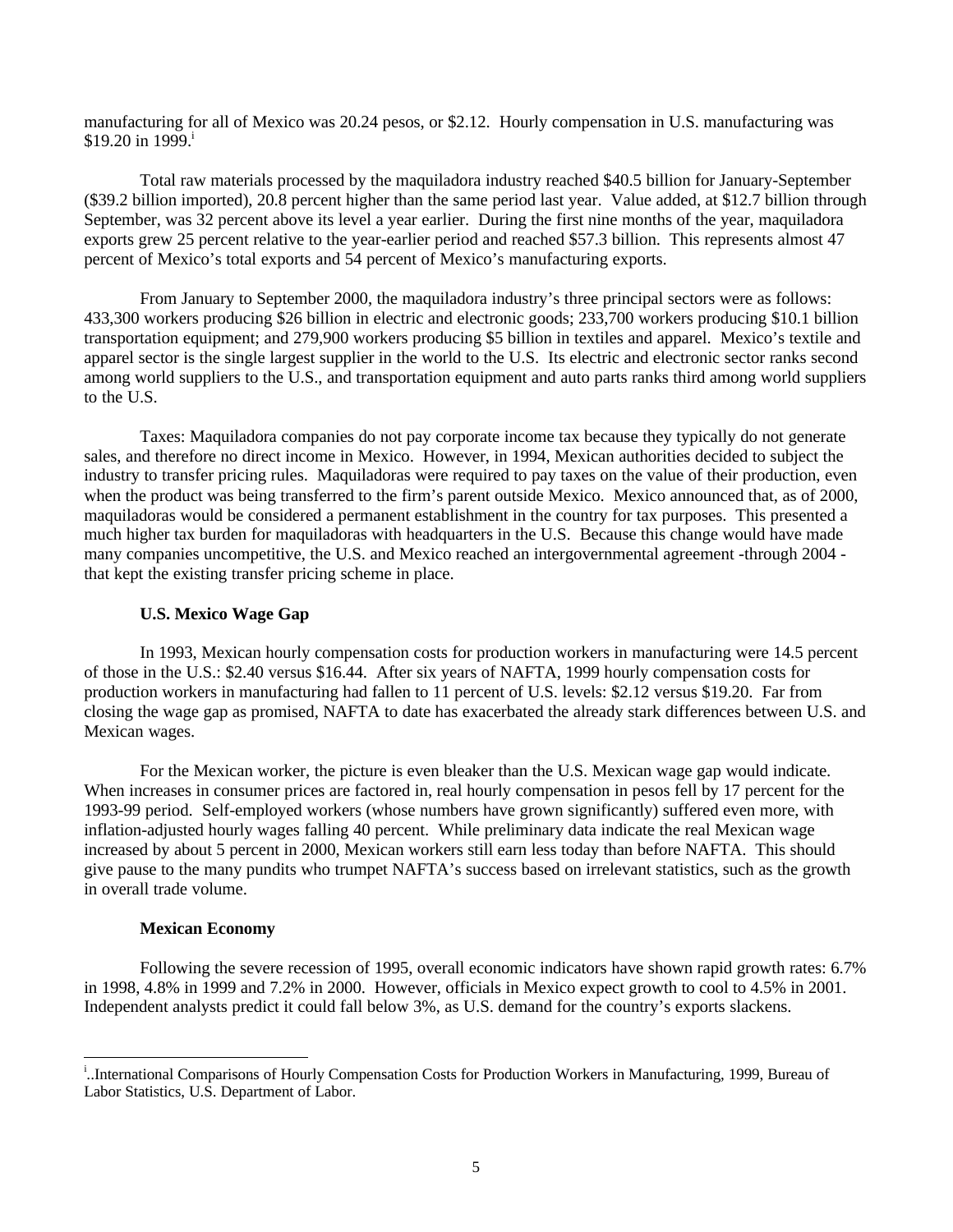manufacturing for all of Mexico was 20.24 pesos, or \$2.12. Hourly compensation in U.S. manufacturing was \$19.20 in 1999. $^{i}$ 

Total raw materials processed by the maquiladora industry reached \$40.5 billion for January-September (\$39.2 billion imported), 20.8 percent higher than the same period last year. Value added, at \$12.7 billion through September, was 32 percent above its level a year earlier. During the first nine months of the year, maquiladora exports grew 25 percent relative to the year-earlier period and reached \$57.3 billion. This represents almost 47 percent of Mexico's total exports and 54 percent of Mexico's manufacturing exports.

From January to September 2000, the maquiladora industry's three principal sectors were as follows: 433,300 workers producing \$26 billion in electric and electronic goods; 233,700 workers producing \$10.1 billion transportation equipment; and 279,900 workers producing \$5 billion in textiles and apparel. Mexico's textile and apparel sector is the single largest supplier in the world to the U.S. Its electric and electronic sector ranks second among world suppliers to the U.S., and transportation equipment and auto parts ranks third among world suppliers to the U.S.

Taxes: Maquiladora companies do not pay corporate income tax because they typically do not generate sales, and therefore no direct income in Mexico. However, in 1994, Mexican authorities decided to subject the industry to transfer pricing rules. Maquiladoras were required to pay taxes on the value of their production, even when the product was being transferred to the firm's parent outside Mexico. Mexico announced that, as of 2000, maquiladoras would be considered a permanent establishment in the country for tax purposes. This presented a much higher tax burden for maquiladoras with headquarters in the U.S. Because this change would have made many companies uncompetitive, the U.S. and Mexico reached an intergovernmental agreement -through 2004 that kept the existing transfer pricing scheme in place.

#### **U.S. Mexico Wage Gap**

In 1993, Mexican hourly compensation costs for production workers in manufacturing were 14.5 percent of those in the U.S.: \$2.40 versus \$16.44. After six years of NAFTA, 1999 hourly compensation costs for production workers in manufacturing had fallen to 11 percent of U.S. levels: \$2.12 versus \$19.20. Far from closing the wage gap as promised, NAFTA to date has exacerbated the already stark differences between U.S. and Mexican wages.

For the Mexican worker, the picture is even bleaker than the U.S. Mexican wage gap would indicate. When increases in consumer prices are factored in, real hourly compensation in pesos fell by 17 percent for the 1993-99 period. Self-employed workers (whose numbers have grown significantly) suffered even more, with inflation-adjusted hourly wages falling 40 percent. While preliminary data indicate the real Mexican wage increased by about 5 percent in 2000, Mexican workers still earn less today than before NAFTA. This should give pause to the many pundits who trumpet NAFTA's success based on irrelevant statistics, such as the growth in overall trade volume.

#### **Mexican Economy**

-

Following the severe recession of 1995, overall economic indicators have shown rapid growth rates: 6.7% in 1998, 4.8% in 1999 and 7.2% in 2000. However, officials in Mexico expect growth to cool to 4.5% in 2001. Independent analysts predict it could fall below 3%, as U.S. demand for the country's exports slackens.

<sup>&</sup>lt;sup>i</sup>..International Comparisons of Hourly Compensation Costs for Production Workers in Manufacturing, 1999, Bureau of Labor Statistics, U.S. Department of Labor.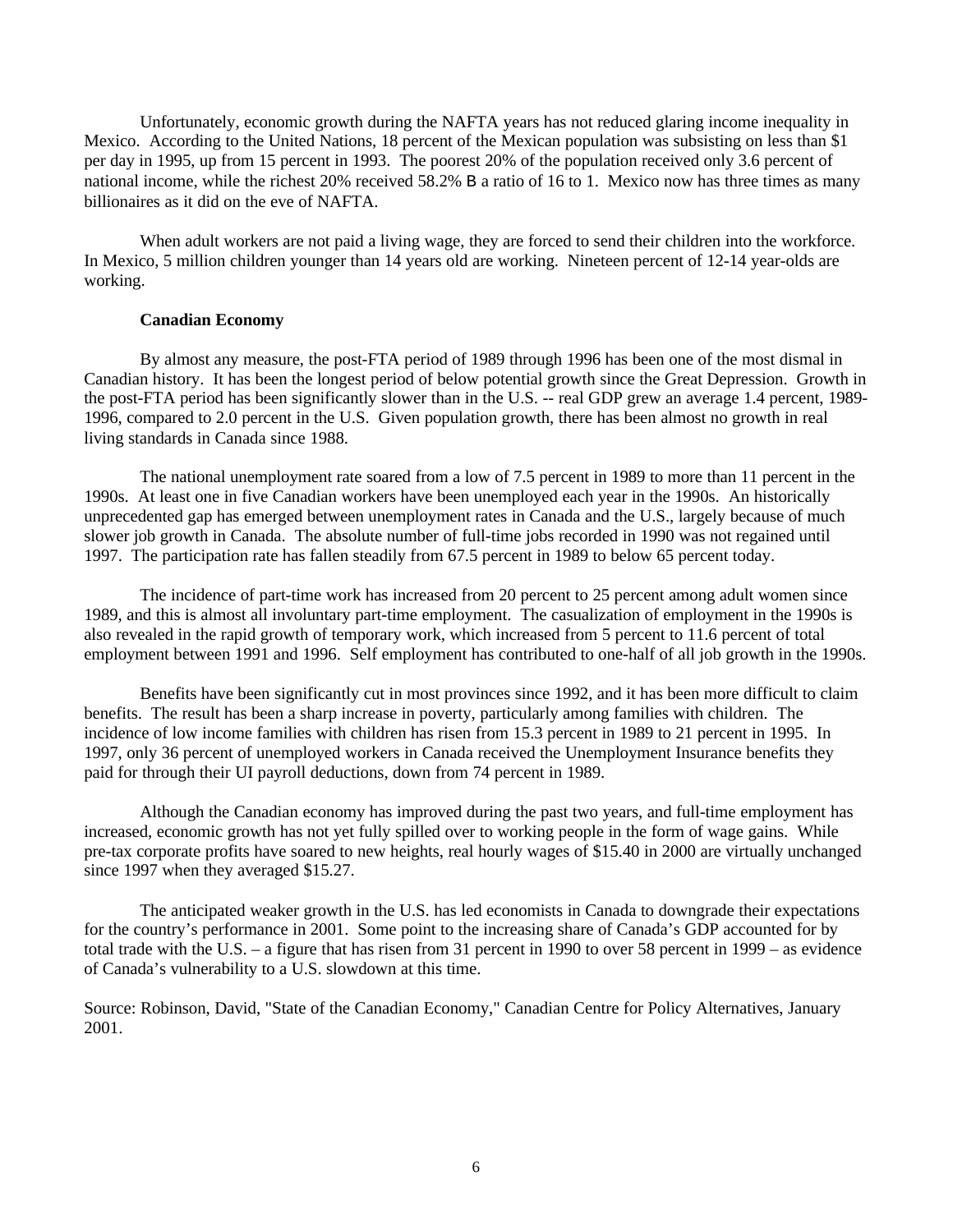Unfortunately, economic growth during the NAFTA years has not reduced glaring income inequality in Mexico. According to the United Nations, 18 percent of the Mexican population was subsisting on less than \$1 per day in 1995, up from 15 percent in 1993. The poorest 20% of the population received only 3.6 percent of national income, while the richest 20% received 58.2% B a ratio of 16 to 1. Mexico now has three times as many billionaires as it did on the eve of NAFTA.

When adult workers are not paid a living wage, they are forced to send their children into the workforce. In Mexico, 5 million children younger than 14 years old are working. Nineteen percent of 12-14 year-olds are working.

#### **Canadian Economy**

By almost any measure, the post-FTA period of 1989 through 1996 has been one of the most dismal in Canadian history. It has been the longest period of below potential growth since the Great Depression. Growth in the post-FTA period has been significantly slower than in the U.S. -- real GDP grew an average 1.4 percent, 1989- 1996, compared to 2.0 percent in the U.S. Given population growth, there has been almost no growth in real living standards in Canada since 1988.

The national unemployment rate soared from a low of 7.5 percent in 1989 to more than 11 percent in the 1990s. At least one in five Canadian workers have been unemployed each year in the 1990s. An historically unprecedented gap has emerged between unemployment rates in Canada and the U.S., largely because of much slower job growth in Canada. The absolute number of full-time jobs recorded in 1990 was not regained until 1997. The participation rate has fallen steadily from 67.5 percent in 1989 to below 65 percent today.

The incidence of part-time work has increased from 20 percent to 25 percent among adult women since 1989, and this is almost all involuntary part-time employment. The casualization of employment in the 1990s is also revealed in the rapid growth of temporary work, which increased from 5 percent to 11.6 percent of total employment between 1991 and 1996. Self employment has contributed to one-half of all job growth in the 1990s.

Benefits have been significantly cut in most provinces since 1992, and it has been more difficult to claim benefits. The result has been a sharp increase in poverty, particularly among families with children. The incidence of low income families with children has risen from 15.3 percent in 1989 to 21 percent in 1995. In 1997, only 36 percent of unemployed workers in Canada received the Unemployment Insurance benefits they paid for through their UI payroll deductions, down from 74 percent in 1989.

Although the Canadian economy has improved during the past two years, and full-time employment has increased, economic growth has not yet fully spilled over to working people in the form of wage gains. While pre-tax corporate profits have soared to new heights, real hourly wages of \$15.40 in 2000 are virtually unchanged since 1997 when they averaged \$15.27.

The anticipated weaker growth in the U.S. has led economists in Canada to downgrade their expectations for the country's performance in 2001. Some point to the increasing share of Canada's GDP accounted for by total trade with the U.S. – a figure that has risen from 31 percent in 1990 to over 58 percent in 1999 – as evidence of Canada's vulnerability to a U.S. slowdown at this time.

Source: Robinson, David, "State of the Canadian Economy," Canadian Centre for Policy Alternatives, January 2001.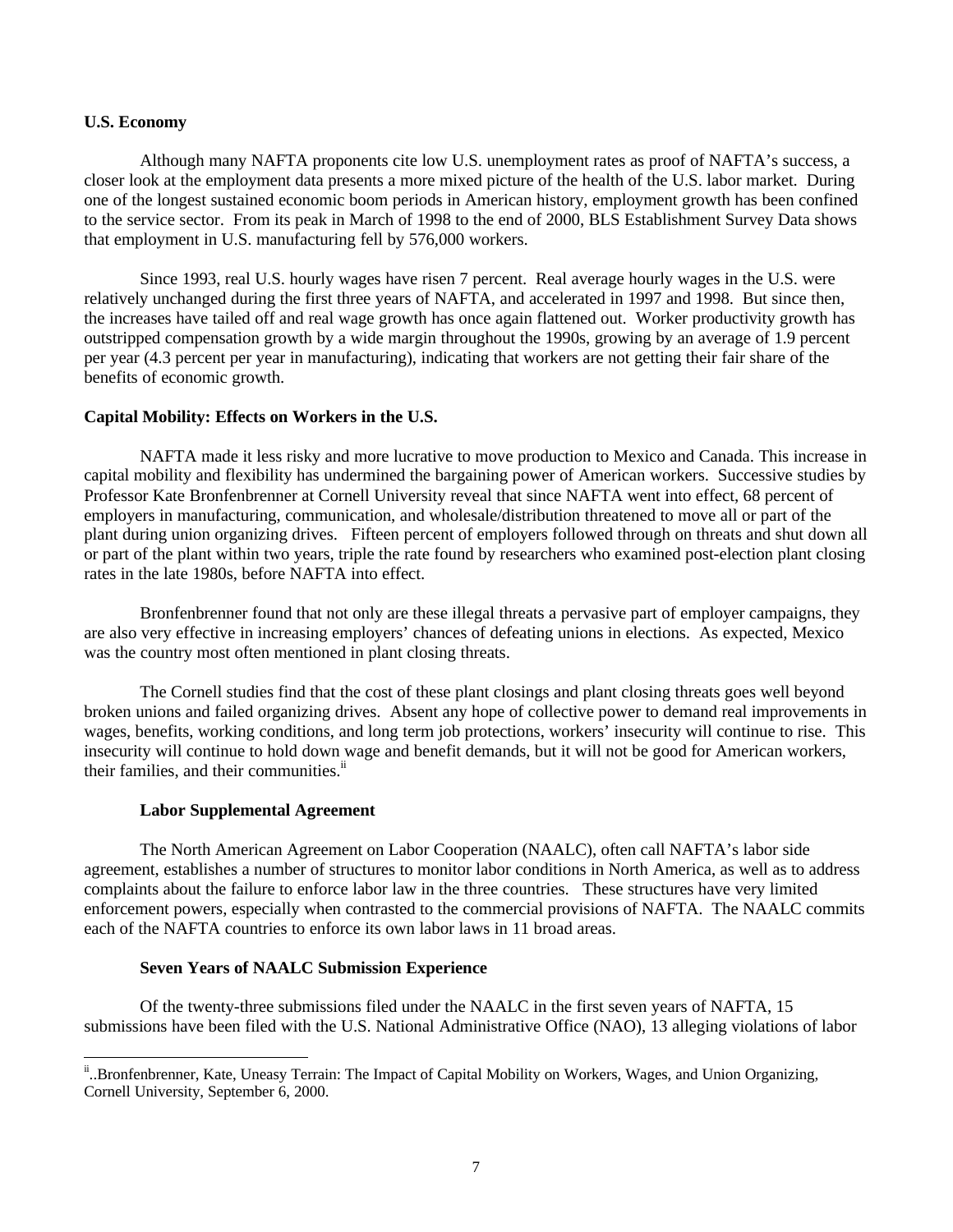# **U.S. Economy**

Although many NAFTA proponents cite low U.S. unemployment rates as proof of NAFTA's success, a closer look at the employment data presents a more mixed picture of the health of the U.S. labor market. During one of the longest sustained economic boom periods in American history, employment growth has been confined to the service sector. From its peak in March of 1998 to the end of 2000, BLS Establishment Survey Data shows that employment in U.S. manufacturing fell by 576,000 workers.

Since 1993, real U.S. hourly wages have risen 7 percent. Real average hourly wages in the U.S. were relatively unchanged during the first three years of NAFTA, and accelerated in 1997 and 1998. But since then, the increases have tailed off and real wage growth has once again flattened out. Worker productivity growth has outstripped compensation growth by a wide margin throughout the 1990s, growing by an average of 1.9 percent per year (4.3 percent per year in manufacturing), indicating that workers are not getting their fair share of the benefits of economic growth.

# **Capital Mobility: Effects on Workers in the U.S.**

NAFTA made it less risky and more lucrative to move production to Mexico and Canada. This increase in capital mobility and flexibility has undermined the bargaining power of American workers. Successive studies by Professor Kate Bronfenbrenner at Cornell University reveal that since NAFTA went into effect, 68 percent of employers in manufacturing, communication, and wholesale/distribution threatened to move all or part of the plant during union organizing drives. Fifteen percent of employers followed through on threats and shut down all or part of the plant within two years, triple the rate found by researchers who examined post-election plant closing rates in the late 1980s, before NAFTA into effect.

Bronfenbrenner found that not only are these illegal threats a pervasive part of employer campaigns, they are also very effective in increasing employers' chances of defeating unions in elections. As expected, Mexico was the country most often mentioned in plant closing threats.

The Cornell studies find that the cost of these plant closings and plant closing threats goes well beyond broken unions and failed organizing drives. Absent any hope of collective power to demand real improvements in wages, benefits, working conditions, and long term job protections, workers' insecurity will continue to rise. This insecurity will continue to hold down wage and benefit demands, but it will not be good for American workers, their families, and their communities.<sup>ii</sup>

# **Labor Supplemental Agreement**

The North American Agreement on Labor Cooperation (NAALC), often call NAFTA's labor side agreement, establishes a number of structures to monitor labor conditions in North America, as well as to address complaints about the failure to enforce labor law in the three countries. These structures have very limited enforcement powers, especially when contrasted to the commercial provisions of NAFTA. The NAALC commits each of the NAFTA countries to enforce its own labor laws in 11 broad areas.

# **Seven Years of NAALC Submission Experience**

Of the twenty-three submissions filed under the NAALC in the first seven years of NAFTA, 15 submissions have been filed with the U.S. National Administrative Office (NAO), 13 alleging violations of labor

 ii ..Bronfenbrenner, Kate, Uneasy Terrain: The Impact of Capital Mobility on Workers, Wages, and Union Organizing, Cornell University, September 6, 2000.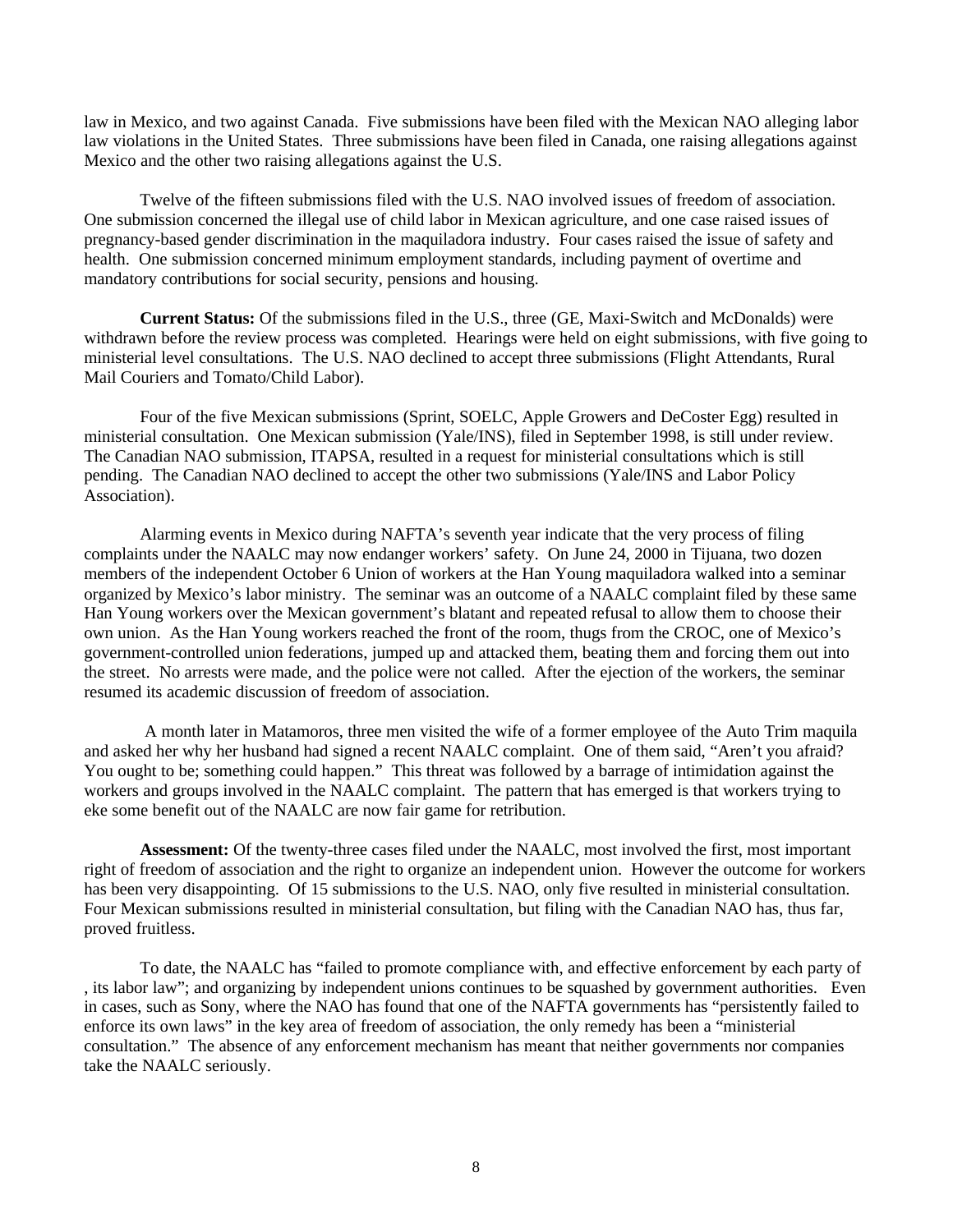law in Mexico, and two against Canada. Five submissions have been filed with the Mexican NAO alleging labor law violations in the United States. Three submissions have been filed in Canada, one raising allegations against Mexico and the other two raising allegations against the U.S.

Twelve of the fifteen submissions filed with the U.S. NAO involved issues of freedom of association. One submission concerned the illegal use of child labor in Mexican agriculture, and one case raised issues of pregnancy-based gender discrimination in the maquiladora industry. Four cases raised the issue of safety and health. One submission concerned minimum employment standards, including payment of overtime and mandatory contributions for social security, pensions and housing.

**Current Status:** Of the submissions filed in the U.S., three (GE, Maxi-Switch and McDonalds) were withdrawn before the review process was completed. Hearings were held on eight submissions, with five going to ministerial level consultations. The U.S. NAO declined to accept three submissions (Flight Attendants, Rural Mail Couriers and Tomato/Child Labor).

Four of the five Mexican submissions (Sprint, SOELC, Apple Growers and DeCoster Egg) resulted in ministerial consultation. One Mexican submission (Yale/INS), filed in September 1998, is still under review. The Canadian NAO submission, ITAPSA, resulted in a request for ministerial consultations which is still pending. The Canadian NAO declined to accept the other two submissions (Yale/INS and Labor Policy Association).

Alarming events in Mexico during NAFTA's seventh year indicate that the very process of filing complaints under the NAALC may now endanger workers' safety. On June 24, 2000 in Tijuana, two dozen members of the independent October 6 Union of workers at the Han Young maquiladora walked into a seminar organized by Mexico's labor ministry. The seminar was an outcome of a NAALC complaint filed by these same Han Young workers over the Mexican government's blatant and repeated refusal to allow them to choose their own union. As the Han Young workers reached the front of the room, thugs from the CROC, one of Mexico's government-controlled union federations, jumped up and attacked them, beating them and forcing them out into the street. No arrests were made, and the police were not called. After the ejection of the workers, the seminar resumed its academic discussion of freedom of association.

 A month later in Matamoros, three men visited the wife of a former employee of the Auto Trim maquila and asked her why her husband had signed a recent NAALC complaint. One of them said, "Aren't you afraid? You ought to be; something could happen." This threat was followed by a barrage of intimidation against the workers and groups involved in the NAALC complaint. The pattern that has emerged is that workers trying to eke some benefit out of the NAALC are now fair game for retribution.

**Assessment:** Of the twenty-three cases filed under the NAALC, most involved the first, most important right of freedom of association and the right to organize an independent union. However the outcome for workers has been very disappointing. Of 15 submissions to the U.S. NAO, only five resulted in ministerial consultation. Four Mexican submissions resulted in ministerial consultation, but filing with the Canadian NAO has, thus far, proved fruitless.

To date, the NAALC has "failed to promote compliance with, and effective enforcement by each party of , its labor law"; and organizing by independent unions continues to be squashed by government authorities. Even in cases, such as Sony, where the NAO has found that one of the NAFTA governments has "persistently failed to enforce its own laws" in the key area of freedom of association, the only remedy has been a "ministerial consultation." The absence of any enforcement mechanism has meant that neither governments nor companies take the NAALC seriously.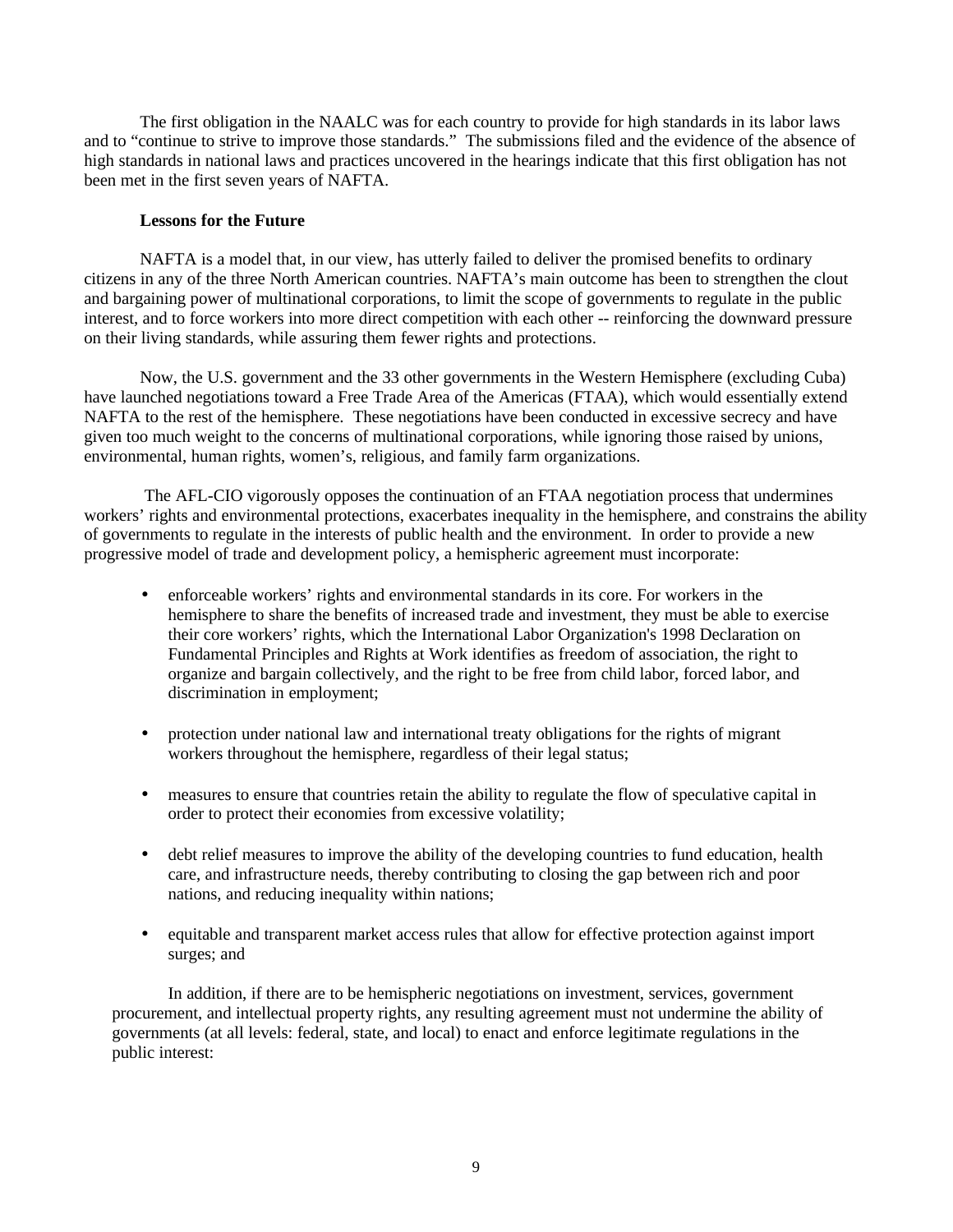The first obligation in the NAALC was for each country to provide for high standards in its labor laws and to "continue to strive to improve those standards." The submissions filed and the evidence of the absence of high standards in national laws and practices uncovered in the hearings indicate that this first obligation has not been met in the first seven years of NAFTA.

# **Lessons for the Future**

NAFTA is a model that, in our view, has utterly failed to deliver the promised benefits to ordinary citizens in any of the three North American countries. NAFTA's main outcome has been to strengthen the clout and bargaining power of multinational corporations, to limit the scope of governments to regulate in the public interest, and to force workers into more direct competition with each other -- reinforcing the downward pressure on their living standards, while assuring them fewer rights and protections.

Now, the U.S. government and the 33 other governments in the Western Hemisphere (excluding Cuba) have launched negotiations toward a Free Trade Area of the Americas (FTAA), which would essentially extend NAFTA to the rest of the hemisphere. These negotiations have been conducted in excessive secrecy and have given too much weight to the concerns of multinational corporations, while ignoring those raised by unions, environmental, human rights, women's, religious, and family farm organizations.

 The AFL-CIO vigorously opposes the continuation of an FTAA negotiation process that undermines workers' rights and environmental protections, exacerbates inequality in the hemisphere, and constrains the ability of governments to regulate in the interests of public health and the environment. In order to provide a new progressive model of trade and development policy, a hemispheric agreement must incorporate:

- enforceable workers' rights and environmental standards in its core. For workers in the hemisphere to share the benefits of increased trade and investment, they must be able to exercise their core workers' rights, which the International Labor Organization's 1998 Declaration on Fundamental Principles and Rights at Work identifies as freedom of association, the right to organize and bargain collectively, and the right to be free from child labor, forced labor, and discrimination in employment;
- protection under national law and international treaty obligations for the rights of migrant workers throughout the hemisphere, regardless of their legal status;
- measures to ensure that countries retain the ability to regulate the flow of speculative capital in order to protect their economies from excessive volatility;
- debt relief measures to improve the ability of the developing countries to fund education, health care, and infrastructure needs, thereby contributing to closing the gap between rich and poor nations, and reducing inequality within nations;
- equitable and transparent market access rules that allow for effective protection against import surges; and

In addition, if there are to be hemispheric negotiations on investment, services, government procurement, and intellectual property rights, any resulting agreement must not undermine the ability of governments (at all levels: federal, state, and local) to enact and enforce legitimate regulations in the public interest: